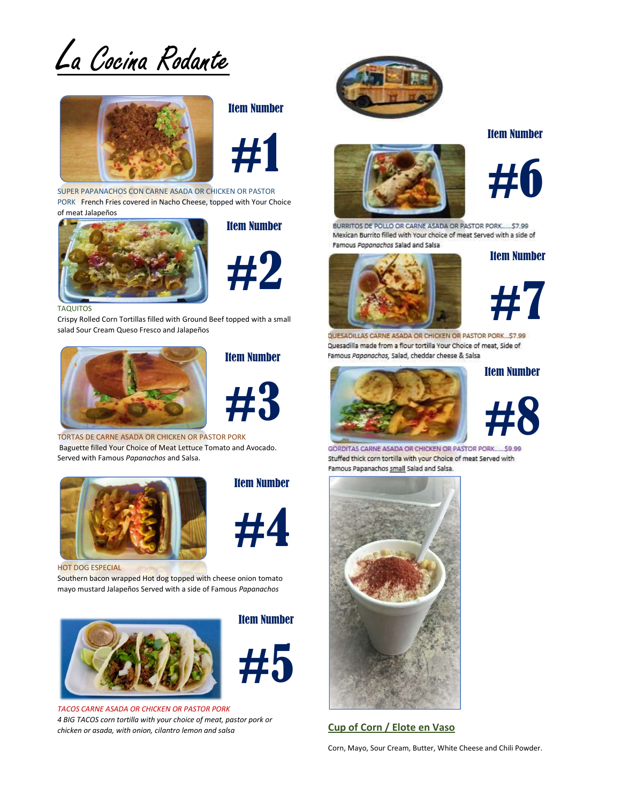La Cocina Rodante



Item Number



SUPER PAPANACHOS CON CARNE ASADA OR CHICKEN OR PASTOR PORK French Fries covered in Nacho Cheese, topped with Your Choice of meat Jalapeños



Item Number



TAQUITOS

Crispy Rolled Corn Tortillas filled with Ground Beef topped with a small salad Sour Cream Queso Fresco and Jalapeños



Item Number



TORTAS DE CARNE ASADA OR CHICKEN OR PASTOR PORK Baguette filled Your Choice of Meat Lettuce Tomato and Avocado. Served with Famous Papanachos and Salsa.



Item Number

Item Number

力 九



HOT DOG ESPECIAL

Southern bacon wrapped Hot dog topped with cheese onion tomato mayo mustard Jalapeños Served with a side of Famous Papanachos



TACOS CARNE ASADA OR CHICKEN OR PASTOR PORK 4 BIG TACOS corn tortilla with your choice of meat, pastor pork or Fish Trees confidential with your choice of meat, pastor por or **Cup of Corn / Elote en Vaso** chicken or asada, with onion, cilantro lemon and salsa





BURRITOS DE POLLO OR CARNE ASADA OR PASTOR PORK...... \$7.99 Mexican Burrito filled with Your choice of meat Served with a side of Famous Pangnachos Salad and Salsa



#7

Item Number

QUESADILLAS CARNE ASADA OR CHICKEN OR PASTOR PORK... \$7.99 Quesadilla made from a flour tortilla Your Choice of meat, Side of Famous Papanachos, Salad, cheddar cheese & Salsa



Item Number



GORDITAS CARNE ASADA OR CHICKEN OR PASTOR PORK... 59.99 Stuffed thick corn tortilla with your Choice of meat Served with Famous Papanachos small Salad and Salsa.



Corn, Mayo, Sour Cream, Butter, White Cheese and Chili Powder.

## Item Number